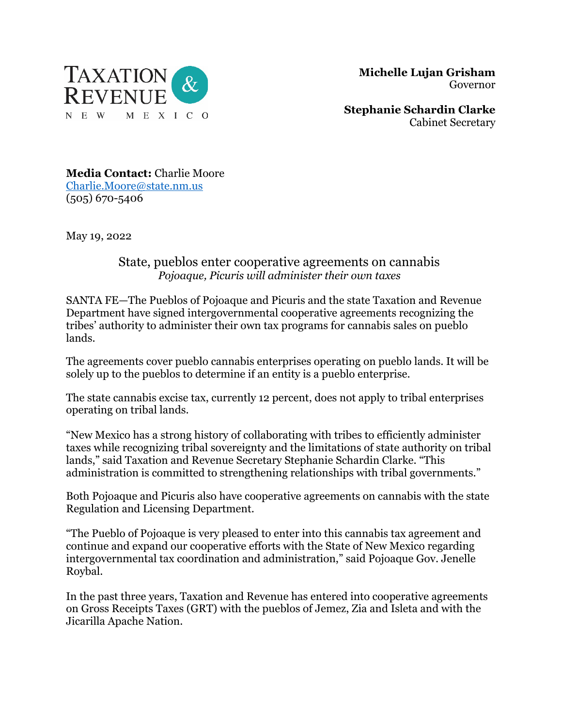

 **Michelle Lujan Grisham** Governor

**Stephanie Schardin Clarke** Cabinet Secretary

**Media Contact:** Charlie Moore [Charlie.Moore@state.nm.us](mailto:Charlie.Moore@state.nm.us) (505) 670-5406

May 19, 2022

## State, pueblos enter cooperative agreements on cannabis *Pojoaque, Picuris will administer their own taxes*

SANTA FE—The Pueblos of Pojoaque and Picuris and the state Taxation and Revenue Department have signed intergovernmental cooperative agreements recognizing the tribes' authority to administer their own tax programs for cannabis sales on pueblo lands.

The agreements cover pueblo cannabis enterprises operating on pueblo lands. It will be solely up to the pueblos to determine if an entity is a pueblo enterprise.

The state cannabis excise tax, currently 12 percent, does not apply to tribal enterprises operating on tribal lands.

"New Mexico has a strong history of collaborating with tribes to efficiently administer taxes while recognizing tribal sovereignty and the limitations of state authority on tribal lands," said Taxation and Revenue Secretary Stephanie Schardin Clarke. "This administration is committed to strengthening relationships with tribal governments."

Both Pojoaque and Picuris also have cooperative agreements on cannabis with the state Regulation and Licensing Department.

"The Pueblo of Pojoaque is very pleased to enter into this cannabis tax agreement and continue and expand our cooperative efforts with the State of New Mexico regarding intergovernmental tax coordination and administration," said Pojoaque Gov. Jenelle Roybal.

In the past three years, Taxation and Revenue has entered into cooperative agreements on Gross Receipts Taxes (GRT) with the pueblos of Jemez, Zia and Isleta and with the Jicarilla Apache Nation.